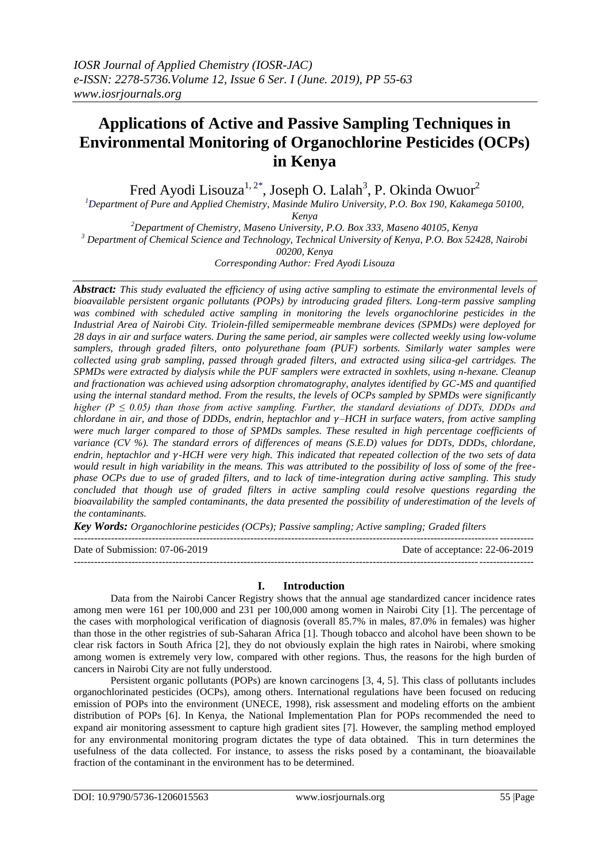# **Applications of Active and Passive Sampling Techniques in Environmental Monitoring of Organochlorine Pesticides (OCPs) in Kenya**

Fred Ayodi Lisouza<sup>1, 2\*</sup>, Joseph O. Lalah<sup>3</sup>, P. Okinda Owuor<sup>2</sup>

*<sup>1</sup>Department of Pure and Applied Chemistry, Masinde Muliro University, P.O. Box 190, Kakamega 50100, Kenya*

*<sup>2</sup>Department of Chemistry, Maseno University, P.O. Box 333, Maseno 40105, Kenya <sup>3</sup> Department of Chemical Science and Technology, Technical University of Kenya, P.O. Box 52428, Nairobi 00200, Kenya*

*Corresponding Author: Fred Ayodi Lisouza*

*Abstract: This study evaluated the efficiency of using active sampling to estimate the environmental levels of bioavailable persistent organic pollutants (POPs) by introducing graded filters. Long-term passive sampling was combined with scheduled active sampling in monitoring the levels organochlorine pesticides in the Industrial Area of Nairobi City. Triolein-filled semipermeable membrane devices (SPMDs) were deployed for 28 days in air and surface waters. During the same period, air samples were collected weekly using low-volume samplers, through graded filters, onto polyurethane foam (PUF) sorbents. Similarly water samples were collected using grab sampling, passed through graded filters, and extracted using silica-gel cartridges. The SPMDs were extracted by dialysis while the PUF samplers were extracted in soxhlets, using n-hexane. Cleanup and fractionation was achieved using adsorption chromatography, analytes identified by GC-MS and quantified using the internal standard method. From the results, the levels of OCPs sampled by SPMDs were significantly higher (P ≤ 0.05) than those from active sampling. Further, the standard deviations of DDTs, DDDs and chlordane in air, and those of DDDs, endrin, heptachlor and –HCH in surface waters, from active sampling were much larger compared to those of SPMDs samples. These resulted in high percentage coefficients of variance (CV %). The standard errors of differences of means (S.E.D) values for DDTs, DDDs, chlordane, endrin, heptachlor and -HCH were very high. This indicated that repeated collection of the two sets of data would result in high variability in the means. This was attributed to the possibility of loss of some of the freephase OCPs due to use of graded filters, and to lack of time-integration during active sampling. This study concluded that though use of graded filters in active sampling could resolve questions regarding the bioavailability the sampled contaminants, the data presented the possibility of underestimation of the levels of the contaminants.*

*Key Words: Organochlorine pesticides (OCPs); Passive sampling; Active sampling; Graded filters*

| Date of Submission: 07-06-2019 | Date of acceptance: 22-06-2019 |
|--------------------------------|--------------------------------|
|                                |                                |

# **I. Introduction**

Data from the Nairobi Cancer Registry shows that the annual age standardized cancer incidence rates among men were 161 per 100,000 and 231 per 100,000 among women in Nairobi City [1]. The percentage of the cases with morphological verification of diagnosis (overall 85.7% in males, 87.0% in females) was higher than those in the other registries of sub-Saharan Africa [1]. Though tobacco and alcohol have been shown to be clear risk factors in South Africa [2], they do not obviously explain the high rates in Nairobi, where smoking among women is extremely very low, compared with other regions. Thus, the reasons for the high burden of cancers in Nairobi City are not fully understood.

Persistent organic pollutants (POPs) are known carcinogens [3, 4, 5]. This class of pollutants includes organochlorinated pesticides (OCPs), among others. International regulations have been focused on reducing emission of POPs into the environment (UNECE, 1998), risk assessment and modeling efforts on the ambient distribution of POPs [6]. In Kenya, the National Implementation Plan for POPs recommended the need to expand air monitoring assessment to capture high gradient sites [7]. However, the sampling method employed for any environmental monitoring program dictates the type of data obtained. This in turn determines the usefulness of the data collected. For instance, to assess the risks posed by a contaminant, the bioavailable fraction of the contaminant in the environment has to be determined.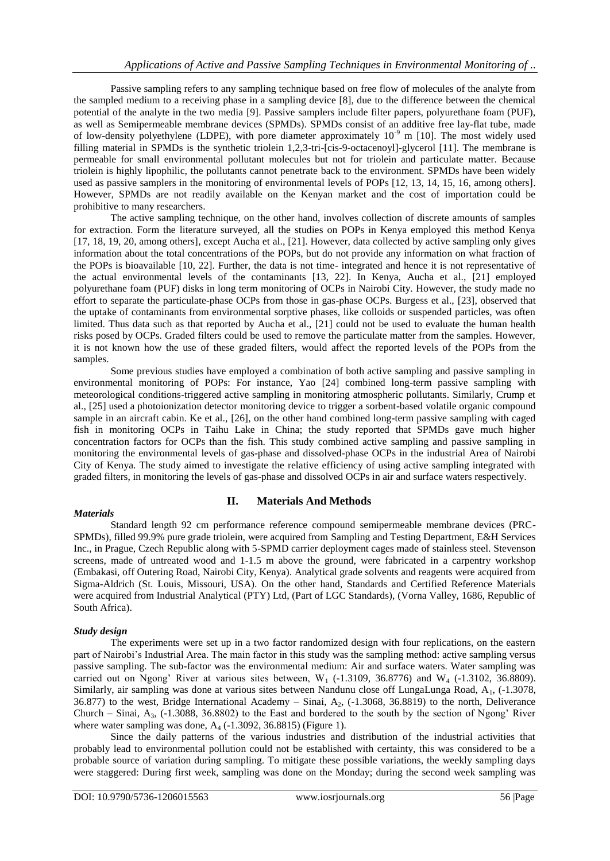Passive sampling refers to any sampling technique based on free flow of molecules of the analyte from the sampled medium to a receiving phase in a sampling device [8], due to the difference between the chemical potential of the analyte in the two media [9]. Passive samplers include filter papers, polyurethane foam (PUF), as well as Semipermeable membrane devices (SPMDs). SPMDs consist of an additive free lay-flat tube, made of low-density polyethylene (LDPE), with pore diameter approximately  $10^{-9}$  m [10]. The most widely used filling material in SPMDs is the synthetic triolein 1,2,3-tri-[cis-9-octacenoyl]-glycerol [11]. The membrane is permeable for small environmental pollutant molecules but not for triolein and particulate matter. Because triolein is highly lipophilic, the pollutants cannot penetrate back to the environment. SPMDs have been widely used as passive samplers in the monitoring of environmental levels of POPs [12, 13, 14, 15, 16, among others]. However, SPMDs are not readily available on the Kenyan market and the cost of importation could be prohibitive to many researchers.

The active sampling technique, on the other hand, involves collection of discrete amounts of samples for extraction. Form the literature surveyed, all the studies on POPs in Kenya employed this method Kenya [17, 18, 19, 20, among others], except Aucha et al., [21]. However, data collected by active sampling only gives information about the total concentrations of the POPs, but do not provide any information on what fraction of the POPs is bioavailable [10, 22]. Further, the data is not time- integrated and hence it is not representative of the actual environmental levels of the contaminants [13, 22]. In Kenya, Aucha et al., [21] employed polyurethane foam (PUF) disks in long term monitoring of OCPs in Nairobi City. However, the study made no effort to separate the particulate-phase OCPs from those in gas-phase OCPs. Burgess et al., [23], observed that the uptake of contaminants from environmental sorptive phases, like colloids or suspended particles, was often limited. Thus data such as that reported by Aucha et al., [21] could not be used to evaluate the human health risks posed by OCPs. Graded filters could be used to remove the particulate matter from the samples. However, it is not known how the use of these graded filters, would affect the reported levels of the POPs from the samples.

Some previous studies have employed a combination of both active sampling and passive sampling in environmental monitoring of POPs: For instance, Yao [24] combined long-term passive sampling with meteorological conditions-triggered active sampling in monitoring atmospheric pollutants. Similarly, Crump et al., [25] used a photoionization detector monitoring device to trigger a sorbent-based volatile organic compound sample in an aircraft cabin. Ke et al., [26], on the other hand combined long-term passive sampling with caged fish in monitoring OCPs in Taihu Lake in China; the study reported that SPMDs gave much higher concentration factors for OCPs than the fish. This study combined active sampling and passive sampling in monitoring the environmental levels of gas-phase and dissolved-phase OCPs in the industrial Area of Nairobi City of Kenya. The study aimed to investigate the relative efficiency of using active sampling integrated with graded filters, in monitoring the levels of gas-phase and dissolved OCPs in air and surface waters respectively.

### *Materials*

# **II. Materials And Methods**

Standard length 92 cm performance reference compound semipermeable membrane devices (PRC-SPMDs), filled 99.9% pure grade triolein, were acquired from Sampling and Testing Department, E&H Services Inc., in Prague, Czech Republic along with 5-SPMD carrier deployment cages made of stainless steel. Stevenson screens, made of untreated wood and 1-1.5 m above the ground, were fabricated in a carpentry workshop (Embakasi, off Outering Road, Nairobi City, Kenya). Analytical grade solvents and reagents were acquired from Sigma-Aldrich (St. Louis, Missouri, USA). On the other hand, Standards and Certified Reference Materials were acquired from Industrial Analytical (PTY) Ltd, (Part of LGC Standards), (Vorna Valley, 1686, Republic of South Africa).

# *Study design*

The experiments were set up in a two factor randomized design with four replications, on the eastern part of Nairobi's Industrial Area. The main factor in this study was the sampling method: active sampling versus passive sampling. The sub-factor was the environmental medium: Air and surface waters. Water sampling was carried out on Ngong' River at various sites between,  $W_1$  (-1.3109, 36.8776) and  $W_4$  (-1.3102, 36.8809). Similarly, air sampling was done at various sites between Nandunu close off LungaLunga Road, A<sub>1</sub>, (-1.3078, 36.877) to the west, Bridge International Academy – Sinai,  $A_2$ , (-1.3068, 36.8819) to the north, Deliverance Church – Sinai,  $A_3$ , (-1.3088, 36.8802) to the East and bordered to the south by the section of Ngong' River where water sampling was done,  $A_4$  (-1.3092, 36.8815) (Figure 1).

Since the daily patterns of the various industries and distribution of the industrial activities that probably lead to environmental pollution could not be established with certainty, this was considered to be a probable source of variation during sampling. To mitigate these possible variations, the weekly sampling days were staggered: During first week, sampling was done on the Monday; during the second week sampling was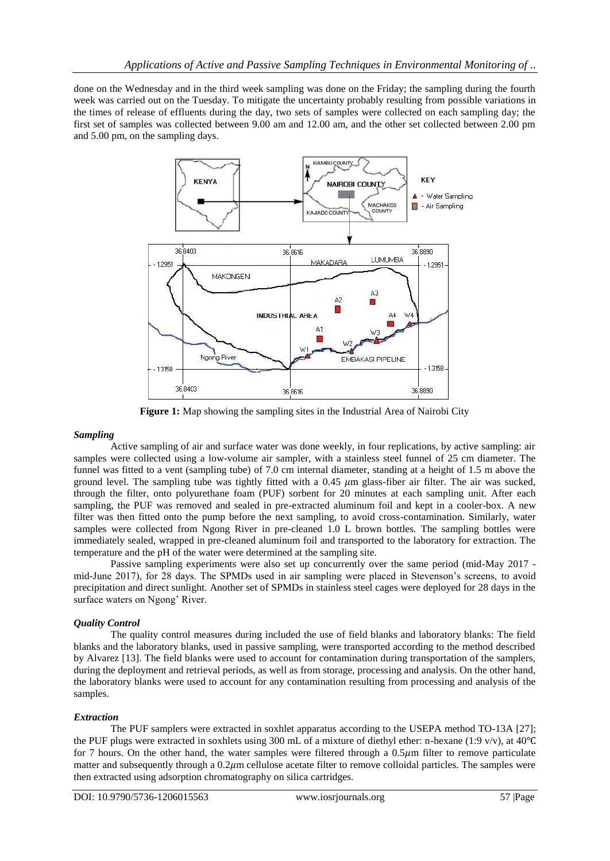done on the Wednesday and in the third week sampling was done on the Friday; the sampling during the fourth week was carried out on the Tuesday. To mitigate the uncertainty probably resulting from possible variations in the times of release of effluents during the day, two sets of samples were collected on each sampling day; the first set of samples was collected between 9.00 am and 12.00 am, and the other set collected between 2.00 pm and 5.00 pm, on the sampling days.



**Figure 1:** Map showing the sampling sites in the Industrial Area of Nairobi City

### *Sampling*

Active sampling of air and surface water was done weekly, in four replications, by active sampling: air samples were collected using a low-volume air sampler, with a stainless steel funnel of 25 cm diameter. The funnel was fitted to a vent (sampling tube) of 7.0 cm internal diameter, standing at a height of 1.5 m above the ground level. The sampling tube was tightly fitted with a  $0.45 \mu m$  glass-fiber air filter. The air was sucked, through the filter, onto polyurethane foam (PUF) sorbent for 20 minutes at each sampling unit. After each sampling, the PUF was removed and sealed in pre-extracted aluminum foil and kept in a cooler-box. A new filter was then fitted onto the pump before the next sampling, to avoid cross-contamination. Similarly, water samples were collected from Ngong River in pre-cleaned 1.0 L brown bottles. The sampling bottles were immediately sealed, wrapped in pre-cleaned aluminum foil and transported to the laboratory for extraction. The temperature and the pH of the water were determined at the sampling site.

Passive sampling experiments were also set up concurrently over the same period (mid-May 2017 mid-June 2017), for 28 days. The SPMDs used in air sampling were placed in Stevenson's screens, to avoid precipitation and direct sunlight. Another set of SPMDs in stainless steel cages were deployed for 28 days in the surface waters on Ngong' River.

# *Quality Control*

The quality control measures during included the use of field blanks and laboratory blanks: The field blanks and the laboratory blanks, used in passive sampling, were transported according to the method described by Alvarez [13]. The field blanks were used to account for contamination during transportation of the samplers, during the deployment and retrieval periods, as well as from storage, processing and analysis. On the other hand, the laboratory blanks were used to account for any contamination resulting from processing and analysis of the samples.

# *Extraction*

The PUF samplers were extracted in soxhlet apparatus according to the USEPA method TO-13A [27]; the PUF plugs were extracted in soxhlets using 300 mL of a mixture of diethyl ether: n-hexane (1:9 v/v), at 40℃ for 7 hours. On the other hand, the water samples were filtered through a  $0.5\mu$ m filter to remove particulate matter and subsequently through a  $0.2\mu$ m cellulose acetate filter to remove colloidal particles. The samples were then extracted using adsorption chromatography on silica cartridges.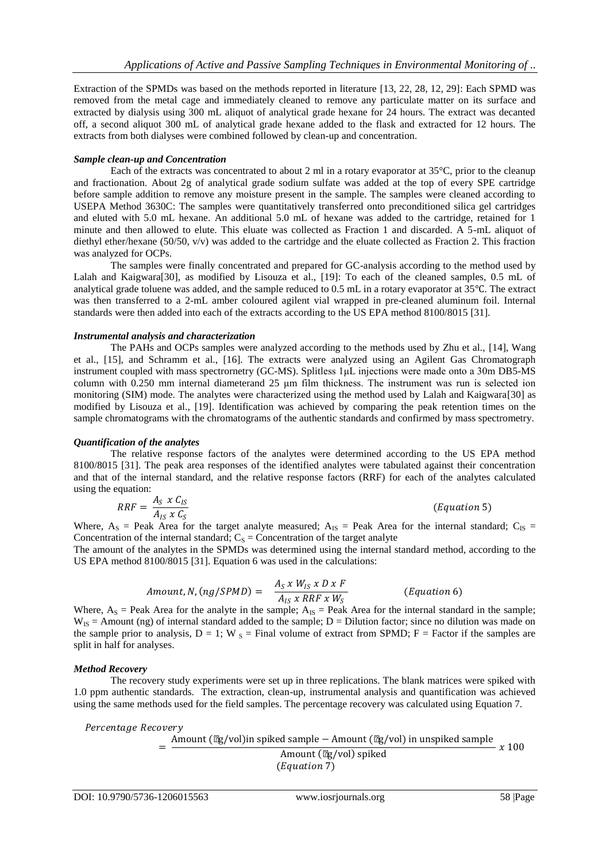Extraction of the SPMDs was based on the methods reported in literature [13, 22, 28, 12, 29]: Each SPMD was removed from the metal cage and immediately cleaned to remove any particulate matter on its surface and extracted by dialysis using 300 mL aliquot of analytical grade hexane for 24 hours. The extract was decanted off, a second aliquot 300 mL of analytical grade hexane added to the flask and extracted for 12 hours. The extracts from both dialyses were combined followed by clean-up and concentration.

#### *Sample clean-up and Concentration*

Each of the extracts was concentrated to about 2 ml in a rotary evaporator at 35°C, prior to the cleanup and fractionation. About 2g of analytical grade sodium sulfate was added at the top of every SPE cartridge before sample addition to remove any moisture present in the sample. The samples were cleaned according to USEPA Method 3630C: The samples were quantitatively transferred onto preconditioned silica gel cartridges and eluted with 5.0 mL hexane. An additional 5.0 mL of hexane was added to the cartridge, retained for 1 minute and then allowed to elute. This eluate was collected as Fraction 1 and discarded. A 5-mL aliquot of diethyl ether/hexane (50/50, v/v) was added to the cartridge and the eluate collected as Fraction 2. This fraction was analyzed for OCPs.

The samples were finally concentrated and prepared for GC-analysis according to the method used by Lalah and Kaigwara[30], as modified by Lisouza et al., [19]: To each of the cleaned samples, 0.5 mL of analytical grade toluene was added, and the sample reduced to 0.5 mL in a rotary evaporator at 35℃. The extract was then transferred to a 2-mL amber coloured agilent vial wrapped in pre-cleaned aluminum foil. Internal standards were then added into each of the extracts according to the US EPA method 8100/8015 [31].

### *Instrumental analysis and characterization*

The PAHs and OCPs samples were analyzed according to the methods used by Zhu et al., [14], Wang et al., [15], and Schramm et al., [16]. The extracts were analyzed using an Agilent Gas Chromatograph instrument coupled with mass spectrornetry (GC-MS). Splitless 1μL injections were made onto a 30m DB5-MS column with 0.250 mm internal diameterand 25 μm film thickness. The instrument was run is selected ion monitoring (SIM) mode. The analytes were characterized using the method used by Lalah and Kaigwara[30] as modified by Lisouza et al., [19]. Identification was achieved by comparing the peak retention times on the sample chromatograms with the chromatograms of the authentic standards and confirmed by mass spectrometry.

### *Quantification of the analytes*

The relative response factors of the analytes were determined according to the US EPA method 8100/8015 [31]. The peak area responses of the identified analytes were tabulated against their concentration and that of the internal standard, and the relative response factors (RRF) for each of the analytes calculated using the equation:

$$
RRF = \frac{A_S \times C_{IS}}{A_{IS} \times C_S}
$$
 (Equation 5)

Where,  $A_S$  = Peak Area for the target analyte measured;  $A_{IS}$  = Peak Area for the internal standard;  $C_{IS}$  = Concentration of the internal standard;  $C_s$  = Concentration of the target analyte

The amount of the analytes in the SPMDs was determined using the internal standard method, according to the US EPA method 8100/8015 [31]. Equation 6 was used in the calculations:

$$
Amount, N, (ng/SPMD) = \frac{A_S x W_{IS} x D x F}{A_{IS} x RRF x W_S}
$$
 (Equation 6)

Where,  $A_s$  = Peak Area for the analyte in the sample;  $A_{1s}$  = Peak Area for the internal standard in the sample;  $W_{IS}$  = Amount (ng) of internal standard added to the sample;  $D = D$ ilution factor; since no dilution was made on the sample prior to analysis,  $D = 1$ ; W  $_{S} =$  Final volume of extract from SPMD; F = Factor if the samples are split in half for analyses.

### *Method Recovery*

The recovery study experiments were set up in three replications. The blank matrices were spiked with 1.0 ppm authentic standards. The extraction, clean-up, instrumental analysis and quantification was achieved using the same methods used for the field samples. The percentage recovery was calculated using Equation 7.

Percentage Recovery

= Amount (μg/vol)<br/>in spiked sample − Amount (μg/vol) in unspiked sample  $\frac{d}{dx}$  amount ( $\mu$ g/vol) spiked  $\frac{d}{dx}$   $\frac{d}{dx}$   $\frac{d}{dx}$  100  $(Equation 7)$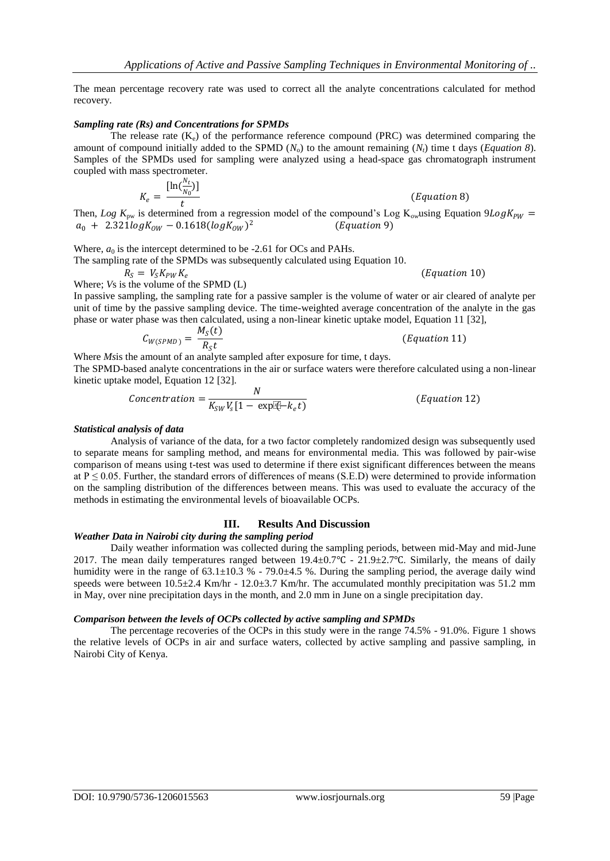The mean percentage recovery rate was used to correct all the analyte concentrations calculated for method recovery.

#### *Sampling rate (Rs) and Concentrations for SPMDs*

The release rate  $(K_e)$  of the performance reference compound (PRC) was determined comparing the amount of compound initially added to the SPMD  $(N_0)$  to the amount remaining  $(N_t)$  time t days (*Equation 8*). Samples of the SPMDs used for sampling were analyzed using a head-space gas chromatograph instrument coupled with mass spectrometer.

$$
K_e = \frac{[\ln(\frac{N_t}{N_0})]}{t}
$$
 (Equation 8)

Then, *Log*  $K_{pw}$  is determined from a regression model of the compound's Log  $K_{ow}$ using Equation 9*Log* $K_{PW}$  =  $a_0 + 2.321 log K_{OW} - 0.1618(log K_{OW})^2$  $(Equation 9)$ 

Where,  $a_0$  is the intercept determined to be -2.61 for OCs and PAHs.

The sampling rate of the SPMDs was subsequently calculated using Equation 10.

 $R_S = V_S K_{PW} K_e$  (Equation 10) Where; *V*s is the volume of the SPMD (L)

In passive sampling, the sampling rate for a passive sampler is the volume of water or air cleared of analyte per unit of time by the passive sampling device. The time-weighted average concentration of the analyte in the gas phase or water phase was then calculated, using a non-linear kinetic uptake model, Equation 11 [32],

$$
C_{W(SPMD)} = \frac{M_S(t)}{R_S t}
$$

 $(Equation 11)$ 

Where *Ms*is the amount of an analyte sampled after exposure for time, t days.

The SPMD-based analyte concentrations in the air or surface waters were therefore calculated using a non-linear kinetic uptake model, Equation 12 [32].

$$
Concentration = \frac{N}{K_{SW}V_s[1 - \exp[\frac{N}{K_e} + k_e t]}\tag{Equation 12}
$$

#### *Statistical analysis of data*

Analysis of variance of the data, for a two factor completely randomized design was subsequently used to separate means for sampling method, and means for environmental media. This was followed by pair-wise comparison of means using t-test was used to determine if there exist significant differences between the means at  $P \le 0.05$ . Further, the standard errors of differences of means (S.E.D) were determined to provide information on the sampling distribution of the differences between means. This was used to evaluate the accuracy of the methods in estimating the environmental levels of bioavailable OCPs.

## **III. Results And Discussion**

### *Weather Data in Nairobi city during the sampling period*

Daily weather information was collected during the sampling periods, between mid-May and mid-June 2017. The mean daily temperatures ranged between 19.4±0.7℃ - 21.9±2.7℃. Similarly, the means of daily humidity were in the range of  $63.1\pm10.3$  % - 79.0 $\pm4.5$  %. During the sampling period, the average daily wind speeds were between  $10.5\pm2.4$  Km/hr - 12.0 $\pm3.7$  Km/hr. The accumulated monthly precipitation was 51.2 mm in May, over nine precipitation days in the month, and 2.0 mm in June on a single precipitation day.

#### *Comparison between the levels of OCPs collected by active sampling and SPMDs*

The percentage recoveries of the OCPs in this study were in the range 74.5% - 91.0%. Figure 1 shows the relative levels of OCPs in air and surface waters, collected by active sampling and passive sampling, in Nairobi City of Kenya.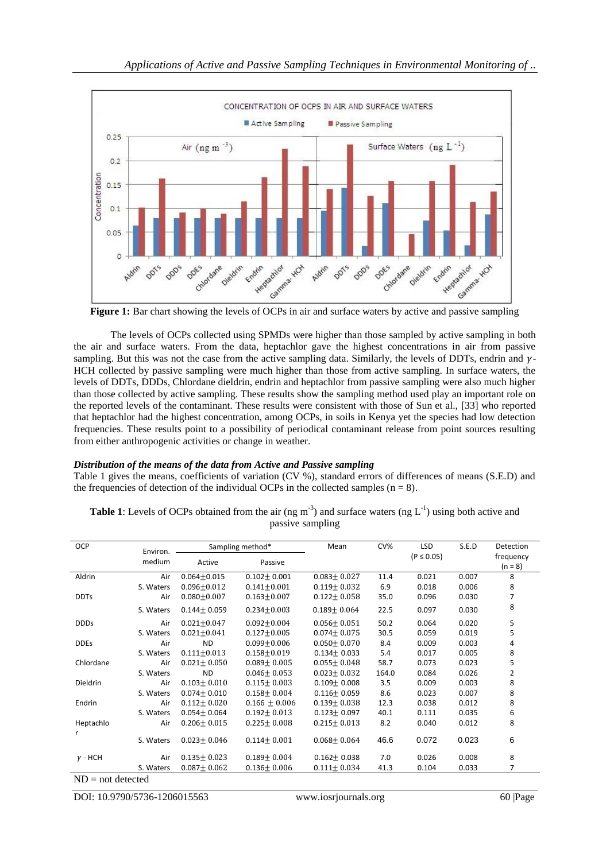

**Figure 1:** Bar chart showing the levels of OCPs in air and surface waters by active and passive sampling

The levels of OCPs collected using SPMDs were higher than those sampled by active sampling in both the air and surface waters. From the data, heptachlor gave the highest concentrations in air from passive sampling. But this was not the case from the active sampling data. Similarly, the levels of DDTs, endrin and  $\gamma$ -HCH collected by passive sampling were much higher than those from active sampling. In surface waters, the levels of DDTs, DDDs, Chlordane dieldrin, endrin and heptachlor from passive sampling were also much higher than those collected by active sampling. These results show the sampling method used play an important role on the reported levels of the contaminant. These results were consistent with those of Sun et al., [33] who reported that heptachlor had the highest concentration, among OCPs, in soils in Kenya yet the species had low detection frequencies. These results point to a possibility of periodical contaminant release from point sources resulting from either anthropogenic activities or change in weather.

# *Distribution of the means of the data from Active and Passive sampling*

Table 1 gives the means, coefficients of variation (CV %), standard errors of differences of means (S.E.D) and the frequencies of detection of the individual OCPs in the collected samples  $(n = 8)$ .

| OCP                 | Environ.  | Sampling method*  |                   | Mean              | CV%   | <b>LSD</b>     | S.E.D | Detection |  |
|---------------------|-----------|-------------------|-------------------|-------------------|-------|----------------|-------|-----------|--|
|                     | medium    | Active            | Passive           |                   |       | $(P \le 0.05)$ |       | frequency |  |
|                     |           |                   |                   |                   |       |                |       | $(n = 8)$ |  |
| Aldrin              | Air       | $0.064 + 0.015$   | $0.102 \pm 0.001$ | $0.083 \pm 0.027$ | 11.4  | 0.021          | 0.007 | 8         |  |
|                     | S. Waters | $0.096 + 0.012$   | $0.141 + 0.001$   | $0.119 \pm 0.032$ | 6.9   | 0.018          | 0.006 | 8         |  |
| <b>DDTs</b>         | Air       | $0.080 + 0.007$   | $0.163 + 0.007$   | $0.122 \pm 0.058$ | 35.0  | 0.096          | 0.030 | 7         |  |
|                     | S. Waters | $0.144 \pm 0.059$ | $0.234 + 0.003$   | $0.189 \pm 0.064$ | 22.5  | 0.097          | 0.030 | 8         |  |
| <b>DDDs</b>         | Air       | $0.021 + 0.047$   | $0.092 \pm 0.004$ | $0.056 \pm 0.051$ | 50.2  | 0.064          | 0.020 | 5         |  |
|                     | S. Waters | $0.021 + 0.041$   | $0.127 + 0.005$   | $0.074 \pm 0.075$ | 30.5  | 0.059          | 0.019 | 5         |  |
| <b>DDEs</b>         | Air       | <b>ND</b>         | $0.099 + 0.006$   | $0.050 \pm 0.070$ | 8.4   | 0.009          | 0.003 | 4         |  |
|                     | S. Waters | $0.111 \pm 0.013$ | $0.158 + 0.019$   | $0.134 \pm 0.033$ | 5.4   | 0.017          | 0.005 | 8         |  |
| Chlordane           | Air       | $0.021 \pm 0.050$ | $0.089 \pm 0.005$ | $0.055 \pm 0.048$ | 58.7  | 0.073          | 0.023 | 5         |  |
|                     | S. Waters | <b>ND</b>         | $0.046 \pm 0.053$ | $0.023 \pm 0.032$ | 164.0 | 0.084          | 0.026 | 2         |  |
| <b>Dieldrin</b>     | Air       | $0.103 \pm 0.010$ | $0.115 \pm 0.003$ | $0.109 \pm 0.008$ | 3.5   | 0.009          | 0.003 | 8         |  |
|                     | S. Waters | $0.074 \pm 0.010$ | $0.158 \pm 0.004$ | $0.116 \pm 0.059$ | 8.6   | 0.023          | 0.007 | 8         |  |
| Endrin              | Air       | $0.112 \pm 0.020$ | $0.166 \pm 0.006$ | $0.139 \pm 0.038$ | 12.3  | 0.038          | 0.012 | 8         |  |
|                     | S. Waters | $0.054 \pm 0.064$ | $0.192 \pm 0.013$ | $0.123 \pm 0.097$ | 40.1  | 0.111          | 0.035 | 6         |  |
| Heptachlo           | Air       | $0.206 \pm 0.015$ | $0.225 \pm 0.008$ | $0.215 \pm 0.013$ | 8.2   | 0.040          | 0.012 | 8         |  |
| r                   |           |                   |                   |                   |       |                |       |           |  |
|                     | S. Waters | $0.023 \pm 0.046$ | $0.114 \pm 0.001$ | $0.068 \pm 0.064$ | 46.6  | 0.072          | 0.023 | 6         |  |
| $\nu$ - HCH         | Air       | $0.135 \pm 0.023$ | $0.189 \pm 0.004$ | $0.162 \pm 0.038$ | 7.0   | 0.026          | 0.008 | 8         |  |
|                     | S. Waters | $0.087 \pm 0.062$ | $0.136 \pm 0.006$ | $0.111 \pm 0.034$ | 41.3  | 0.104          | 0.033 | 7         |  |
| $ND = not detected$ |           |                   |                   |                   |       |                |       |           |  |

**Table 1**: Levels of OCPs obtained from the air (ng m<sup>-3</sup>) and surface waters (ng  $L^{-1}$ ) using both active and passive sampling

DOI: 10.9790/5736-1206015563 www.iosrjournals.org 60 |Page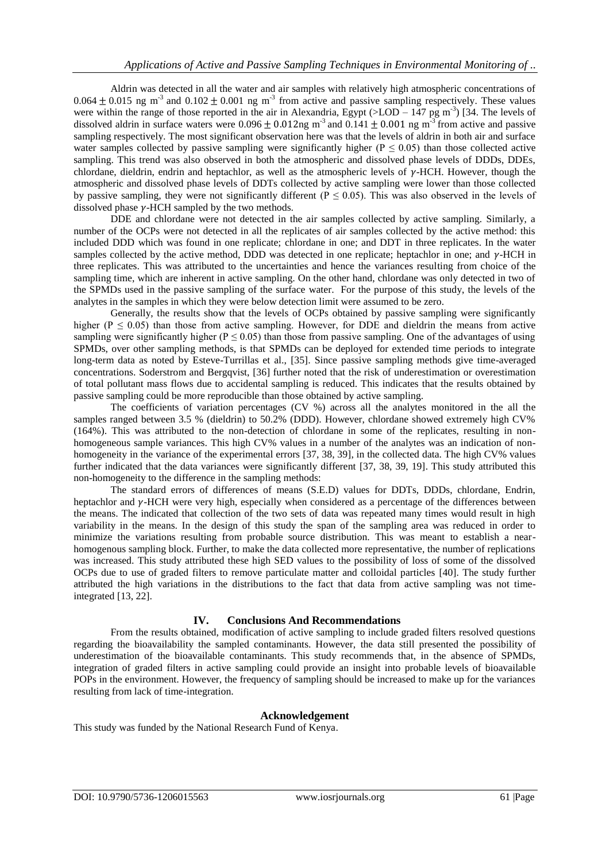Aldrin was detected in all the water and air samples with relatively high atmospheric concentrations of  $0.064 \pm 0.015$  ng m<sup>-3</sup> and  $0.102 \pm 0.001$  ng m<sup>-3</sup> from active and passive sampling respectively. These values were within the range of those reported in the air in Alexandria, Egypt  $(>LOD - 147$  pg m<sup>-3</sup>) [34. The levels of dissolved aldrin in surface waters were  $0.096 \pm 0.012$ ng m<sup>-3</sup> and  $0.141 \pm 0.001$  ng m<sup>-3</sup> from active and passive sampling respectively. The most significant observation here was that the levels of aldrin in both air and surface water samples collected by passive sampling were significantly higher ( $P \le 0.05$ ) than those collected active sampling. This trend was also observed in both the atmospheric and dissolved phase levels of DDDs, DDEs, chlordane, dieldrin, endrin and heptachlor, as well as the atmospheric levels of  $\gamma$ -HCH. However, though the atmospheric and dissolved phase levels of DDTs collected by active sampling were lower than those collected by passive sampling, they were not significantly different ( $P \le 0.05$ ). This was also observed in the levels of dissolved phase  $\gamma$ -HCH sampled by the two methods.

DDE and chlordane were not detected in the air samples collected by active sampling. Similarly, a number of the OCPs were not detected in all the replicates of air samples collected by the active method: this included DDD which was found in one replicate; chlordane in one; and DDT in three replicates. In the water samples collected by the active method, DDD was detected in one replicate; heptachlor in one; and  $\gamma$ -HCH in three replicates. This was attributed to the uncertainties and hence the variances resulting from choice of the sampling time, which are inherent in active sampling. On the other hand, chlordane was only detected in two of the SPMDs used in the passive sampling of the surface water. For the purpose of this study, the levels of the analytes in the samples in which they were below detection limit were assumed to be zero.

Generally, the results show that the levels of OCPs obtained by passive sampling were significantly higher ( $P \le 0.05$ ) than those from active sampling. However, for DDE and dieldrin the means from active sampling were significantly higher ( $P \le 0.05$ ) than those from passive sampling. One of the advantages of using SPMDs, over other sampling methods, is that SPMDs can be deployed for extended time periods to integrate long-term data as noted by Esteve-Turrillas et al., [35]. Since passive sampling methods give time-averaged concentrations. Soderstrom and Bergqvist, [36] further noted that the risk of underestimation or overestimation of total pollutant mass flows due to accidental sampling is reduced. This indicates that the results obtained by passive sampling could be more reproducible than those obtained by active sampling.

The coefficients of variation percentages (CV %) across all the analytes monitored in the all the samples ranged between 3.5 % (dieldrin) to 50.2% (DDD). However, chlordane showed extremely high CV% (164%). This was attributed to the non-detection of chlordane in some of the replicates, resulting in nonhomogeneous sample variances. This high CV% values in a number of the analytes was an indication of nonhomogeneity in the variance of the experimental errors [37, 38, 39], in the collected data. The high CV% values further indicated that the data variances were significantly different [37, 38, 39, 19]. This study attributed this non-homogeneity to the difference in the sampling methods:

The standard errors of differences of means (S.E.D) values for DDTs, DDDs, chlordane, Endrin, heptachlor and  $\gamma$ -HCH were very high, especially when considered as a percentage of the differences between the means. The indicated that collection of the two sets of data was repeated many times would result in high variability in the means. In the design of this study the span of the sampling area was reduced in order to minimize the variations resulting from probable source distribution. This was meant to establish a nearhomogenous sampling block. Further, to make the data collected more representative, the number of replications was increased. This study attributed these high SED values to the possibility of loss of some of the dissolved OCPs due to use of graded filters to remove particulate matter and colloidal particles [40]. The study further attributed the high variations in the distributions to the fact that data from active sampling was not timeintegrated [13, 22].

# **IV. Conclusions And Recommendations**

From the results obtained, modification of active sampling to include graded filters resolved questions regarding the bioavailability the sampled contaminants. However, the data still presented the possibility of underestimation of the bioavailable contaminants. This study recommends that, in the absence of SPMDs, integration of graded filters in active sampling could provide an insight into probable levels of bioavailable POPs in the environment. However, the frequency of sampling should be increased to make up for the variances resulting from lack of time-integration.

## **Acknowledgement**

This study was funded by the National Research Fund of Kenya.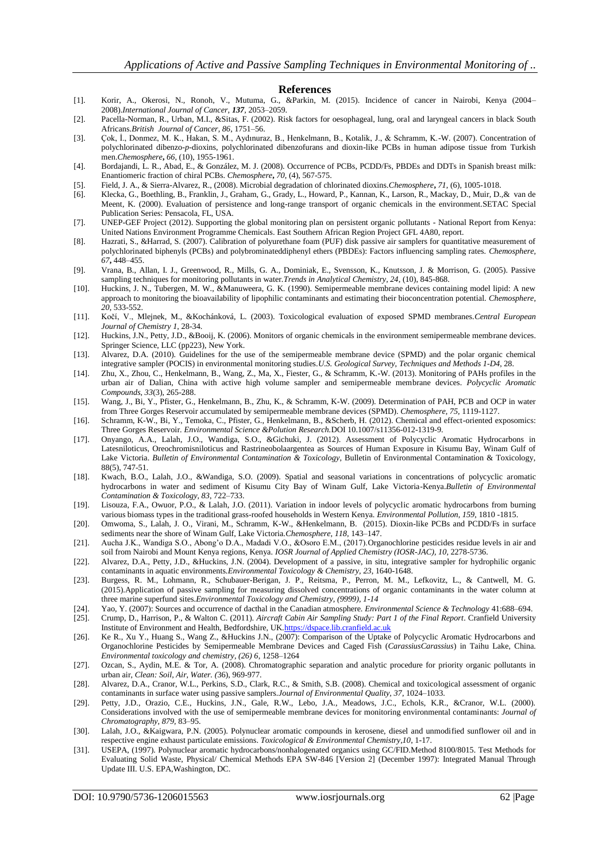#### **References**

- [1]. Korir, A., Okerosi, N., Ronoh, V., Mutuma, G., &Parkin, M. (2015). Incidence of cancer in Nairobi, Kenya (2004– 2008).*International Journal of Cancer, 137,* 2053–2059.
- [2]. Pacella-Norman, R., Urban, M.I., &Sitas, F. (2002). Risk factors for oesophageal, lung, oral and laryngeal cancers in black South Africans.*British Journal of Cancer, 86*, 1751–56.
- [3]. Çok, İ., Donmez, M. K., Hakan, S. M., Aydınuraz, B., Henkelmann, B., Kotalik, J., & Schramm, K.-W. (2007). Concentration of polychlorinated dibenzo-*p*-dioxins, polychlorinated dibenzofurans and dioxin-like PCBs in human adipose tissue from Turkish men.*Chemosphere***,** *66*, (10), 1955-1961.
- [4]. Bordajandi, L. R., Abad, E., & González, M. J. (2008). Occurrence of PCBs, PCDD/Fs, PBDEs and DDTs in Spanish breast milk: Enantiomeric fraction of chiral PCBs. *Chemosphere***,** *70*, (4), 567-575.
- [5]. Field, J. A., & Sierra-Alvarez, R., (2008). Microbial degradation of chlorinated dioxins.*Chemosphere***,** *71*, (6), 1005-1018.
- [6]. Klecka, G., Boethling, B., Franklin, J., Graham, G., Grady, L., Howard, P., Kannan, K., Larson, R., Mackay, D., Muir, D.,& van de Meent, K. (2000). Evaluation of persistence and long-range transport of organic chemicals in the environment.SETAC Special Publication Series: Pensacola, FL, USA.
- [7]. UNEP-GEF Project (2012). Supporting the global monitoring plan on persistent organic pollutants National Report from Kenya: United Nations Environment Programme Chemicals. East Southern African Region Project GFL 4A80, report.
- [8]. Hazrati, S., &Harrad, S. (2007). Calibration of polyurethane foam (PUF) disk passive air samplers for quantitative measurement of polychlorinated biphenyls (PCBs) and polybrominateddiphenyl ethers (PBDEs): Factors influencing sampling rates. *Chemosphere, 67***,** 448–455.
- [9]. Vrana, B., Allan, I. J., Greenwood, R., Mills, G. A., Dominiak, E., Svensson, K., Knutsson, J. & Morrison, G. (2005). Passive sampling techniques for monitoring pollutants in water.*Trends in Analytical Chemistry, 24*, (10), 845-868.
- [10]. Huckins, J. N., Tubergen, M. W., &Manuweera, G. K. (1990). Semipermeable membrane devices containing model lipid: A new approach to monitoring the bioavailability of lipophilic contaminants and estimating their bioconcentration potential. *Chemosphere, 20*, 533-552.
- [11]. Kočí, V., Mlejnek, M., &Kochánková, L. (2003). Toxicological evaluation of exposed SPMD membranes.*Central European Journal of Chemistry 1*, 28-34.
- [12]. Huckins, J.N., Petty, J.D., &Booij, K. (2006). Monitors of organic chemicals in the environment semipermeable membrane devices. Springer Science, LLC (pp223), New York.
- [13]. Alvarez, D.A. (2010). Guidelines for the use of the semipermeable membrane device (SPMD) and the polar organic chemical integrative sampler (POCIS) in environmental monitoring studies.*U.S. Geological Survey*, *Techniques and Methods 1-D4*, 28.
- [14]. Zhu, X., Zhou, C., Henkelmann, B., Wang, Z., Ma, X., Fiester, G., & Schramm, K.-W. (2013). Monitoring of PAHs profiles in the urban air of Dalian, China with active high volume sampler and semipermeable membrane devices. *Polycyclic Aromatic Compounds*, *33*(3), 265-288.
- [15]. Wang, J., Bi, Y., Pfister, G., Henkelmann, B., Zhu, K., & Schramm, K-W. (2009). Determination of PAH, PCB and OCP in water from Three Gorges Reservoir accumulated by semipermeable membrane devices (SPMD). *Chemosphere, 75,* 1119-1127.
- [16]. Schramm, K-W., Bi, Y., Temoka, C., Pfister, G., Henkelmann, B., &Scherb, H. (2012). Chemical and effect-oriented exposomics: Three Gorges Reservoir. *Environmental Science &Polution Research.*DOI 10.1007/s11356-012-1319-9.
- [17]. Onyango, A.A., Lalah, J.O., Wandiga, S.O., &Gichuki, J. (2012). Assessment of Polycyclic Aromatic Hydrocarbons in Latesniloticus, Oreochromisniloticus and Rastrineobolaargentea as Sources of Human Exposure in Kisumu Bay, Winam Gulf of Lake Victoria. *Bulletin of Environmental Contamination & Toxicology*, Bulletin of Environmental Contamination & Toxicology, 88(5), 747-51.
- [18]. Kwach, B.O., Lalah, J.O., &Wandiga, S.O. (2009). Spatial and seasonal variations in concentrations of polycyclic aromatic hydrocarbons in water and sediment of Kisumu City Bay of Winam Gulf, Lake Victoria-Kenya.*Bulletin of Environmental Contamination & Toxicology, 83*, 722–733.
- [19]. Lisouza, F.A., Owuor, P.O., & Lalah, J.O. (2011). Variation in indoor levels of polycyclic aromatic hydrocarbons from burning various biomass types in the traditional grass-roofed households in Western Kenya. *Environmental Pollution, 159*, 1810 -1815.
- [20]. Omwoma, S., Lalah, J. O., Virani, M., Schramm, K-W., &Henkelmann, B. (2015). Dioxin-like PCBs and PCDD/Fs in surface sediments near the shore of Winam Gulf, Lake Victoria.*Chemosphere, 118,* 143–147.
- [21]. Aucha J.K., Wandiga S.O., Abong'o D.A., Madadi V.O., &Osoro E.M., (2017).Organochlorine pesticides residue levels in air and soil from Nairobi and Mount Kenya regions, Kenya. *IOSR Journal of Applied Chemistry (IOSR-JAC), 10,* 2278-5736.
- [22]. Alvarez, D.A., Petty, J.D., &Huckins, J.N. (2004). Development of a passive, in situ, integrative sampler for hydrophilic organic contaminants in aquatic environments.*Environmental Toxicology & Chemistry, 23*, 1640-1648.
- [23]. Burgess, R. M., Lohmann, R., Schubauer-Berigan, J. P., Reitsma, P., Perron, M. M., Lefkovitz, L., & Cantwell, M. G. (2015).Application of passive sampling for measuring dissolved concentrations of organic contaminants in the water column at three marine superfund sites.*Environmental Toxicology and Chemistry, (9999), 1-14*
- [24]. Yao, Y. (2007): Sources and occurrence of dacthal in the Canadian atmosphere. *Environmental Science & Technology* 41:688–694. [25]. Crump, D., Harrison, P., & Walton C. (2011). *Aircraft Cabin Air Sampling Study: Part 1 of the Final Report*. Cranfield University
- Institute of Environment and Health, Bedfordshire, UK[.https://dspace.lib.cranfield.ac.uk](https://dspace.lib.cranfield.ac.uk/)
- [26]. Ke R., Xu Y., Huang S., Wang Z., &Huckins J.N., (2007): Comparison of the Uptake of Polycyclic Aromatic Hydrocarbons and Organochlorine Pesticides by Semipermeable Membrane Devices and Caged Fish (*CarassiusCarassius*) in Taihu Lake, China. *Environmental toxicology and chemistry, (26) 6*, 1258–1264
- [27]. Ozcan, S., Aydin, M.E. & Tor, A. (2008). Chromatographic separation and analytic procedure for priority organic pollutants in urban air, *Clean: Soil, Air, Water. (*36), 969-977.
- [28]. Alvarez, D.A., Cranor, W.L., Perkins, S.D., Clark, R.C., & Smith, S.B. (2008). Chemical and toxicological assessment of organic contaminants in surface water using passive samplers.*Journal of Environmental Quality, 37*, 1024–1033.
- [29]. Petty, J.D., Orazio, C.E., Huckins, J.N., Gale, R.W., Lebo, J.A., Meadows, J.C., Echols, K.R., &Cranor, W.L. (2000). Considerations involved with the use of semipermeable membrane devices for monitoring environmental contaminants: *Journal of Chromatography, 879,* 83–95.
- [30]. Lalah, J.O., &Kaigwara, P.N. (2005). Polynuclear aromatic compounds in kerosene, diesel and unmodified sunflower oil and in respective engine exhaust particulate emissions. *Toxicological & Environmental Chemistry,10*, 1-17.
- [31]. USEPA, (1997). Polynuclear aromatic hydrocarbons/nonhalogenated organics using GC/FID.Method 8100/8015. Test Methods for Evaluating Solid Waste, Physical/ Chemical Methods EPA SW-846 [Version 2] (December 1997): Integrated Manual Through Update III. U.S. EPA,Washington, DC.